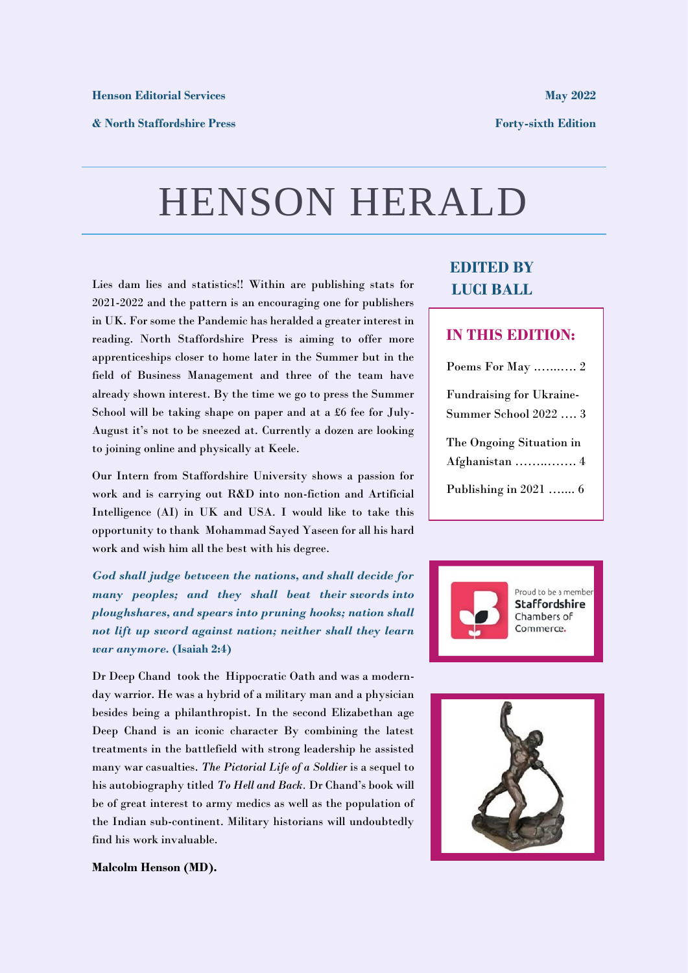**& North Staffordshire Press**

**Forty-sixth Edition**

### HENSON HERALD

Lies dam lies and statistics!! Within are publishing stats for 2021-2022 and the pattern is an encouraging one for publishers in UK. For some the Pandemic has heralded a greater interest in reading. North Staffordshire Press is aiming to offer more apprenticeships closer to home later in the Summer but in the field of Business Management and three of the team have already shown interest. By the time we go to press the Summer School will be taking shape on paper and at a £6 fee for July-August it's not to be sneezed at. Currently a dozen are looking to joining online and physically at Keele.

Our Intern from Staffordshire University shows a passion for work and is carrying out R&D into non-fiction and Artificial Intelligence (AI) in UK and USA. I would like to take this opportunity to thank Mohammad Sayed Yaseen for all his hard work and wish him all the best with his degree.

*God shall judge between the nations, and shall decide for many peoples; and they shall beat their swords into ploughshares, and spears into pruning hooks; nation shall not lift up sword against nation; neither shall they learn war anymore.* **(Isaiah 2:4)**

Dr Deep Chand took the Hippocratic Oath and was a modernday warrior. He was a hybrid of a military man and a physician besides being a philanthropist. In the second Elizabethan age Deep Chand is an iconic character By combining the latest treatments in the battlefield with strong leadership he assisted many war casualties. *The Pictorial Life of a Soldier* is a sequel to his autobiography titled *To Hell and Back.* Dr Chand's book will be of great interest to army medics as well as the population of the Indian sub-continent. Military historians will undoubtedly find his work invaluable.

### **EDITED BY LUCI BALL**

### **IN THIS EDITION:**

| Poems For May  2                                         |
|----------------------------------------------------------|
| <b>Fundraising for Ukraine-</b><br>Summer School 2022  3 |
| The Ongoing Situation in                                 |
| Publishing in 2021  6                                    |





#### **Malcolm Henson (MD).**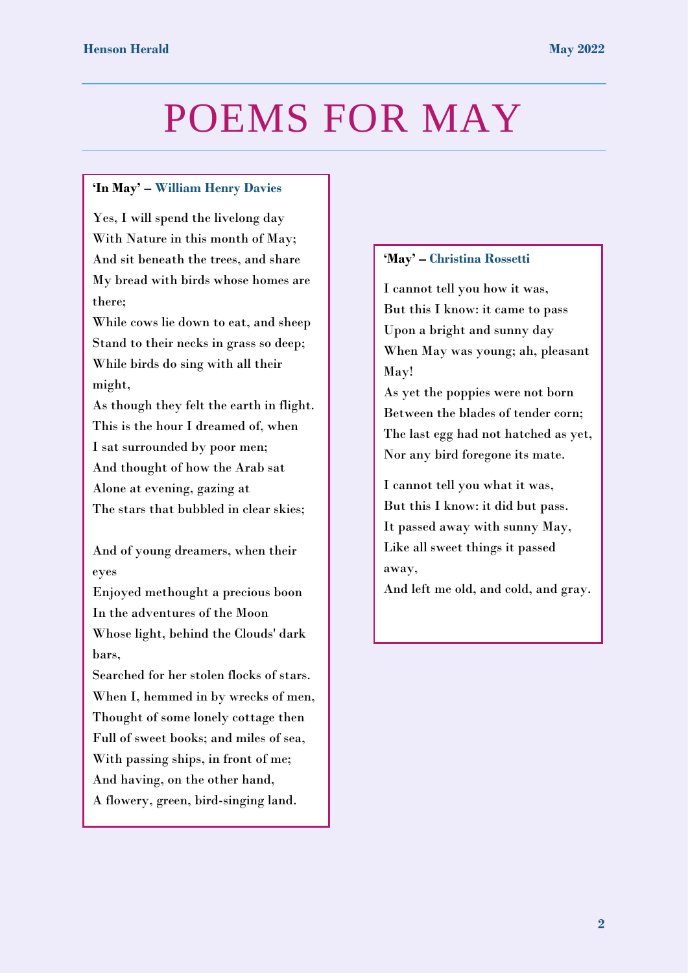### POEMS FOR MAY

### **'In May' – William Henry Davies**

Yes, I will spend the livelong day With Nature in this month of May; And sit beneath the trees, and share My bread with birds whose homes are there;

While cows lie down to eat, and sheep Stand to their necks in grass so deep; While birds do sing with all their might,

As though they felt the earth in flight. This is the hour I dreamed of, when I sat surrounded by poor men; And thought of how the Arab sat Alone at evening, gazing at The stars that bubbled in clear skies;

And of young dreamers, when their eyes

Enjoyed methought a precious boon In the adventures of the Moon Whose light, behind the Clouds' dark bars,

Searched for her stolen flocks of stars. When I, hemmed in by wrecks of men, Thought of some lonely cottage then Full of sweet books; and miles of sea, With passing ships, in front of me; And having, on the other hand, A flowery, green, bird-singing land.

#### **'May' – Christina Rossetti**

I cannot tell you how it was, But this I know: it came to pass Upon a bright and sunny day When May was young; ah, pleasant May!

As yet the poppies were not born Between the blades of tender corn; The last egg had not hatched as yet, Nor any bird foregone its mate.

I cannot tell you what it was, But this I know: it did but pass. It passed away with sunny May, Like all sweet things it passed away,

And left me old, and cold, and gray.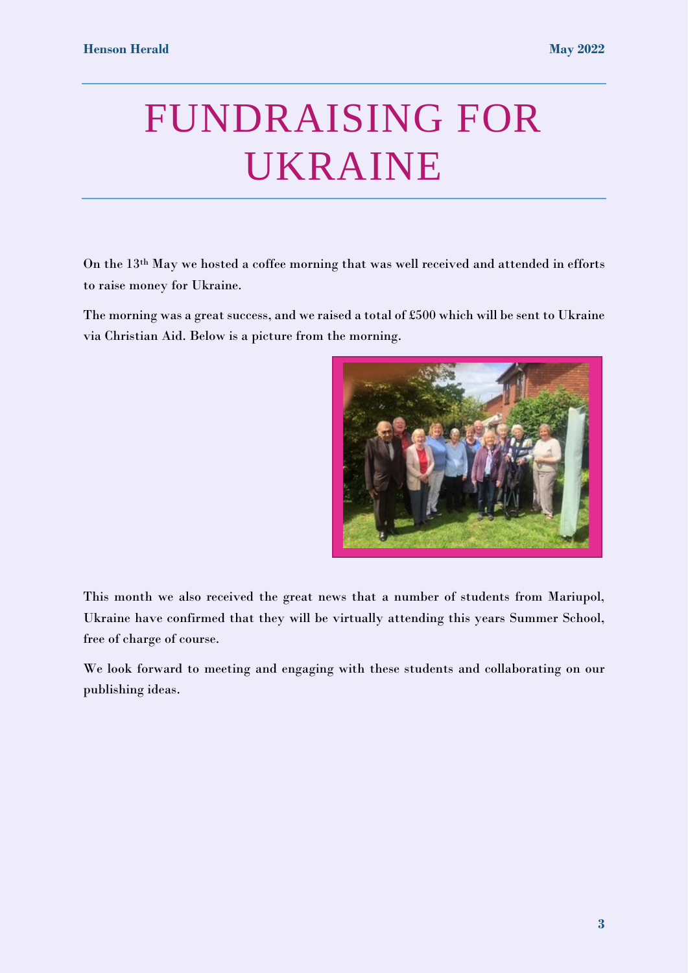# FUNDRAISING FOR UKRAINE

On the 13th May we hosted a coffee morning that was well received and attended in efforts to raise money for Ukraine.

The morning was a great success, and we raised a total of £500 which will be sent to Ukraine via Christian Aid. Below is a picture from the morning.



This month we also received the great news that a number of students from Mariupol, Ukraine have confirmed that they will be virtually attending this years Summer School, free of charge of course.

We look forward to meeting and engaging with these students and collaborating on our publishing ideas.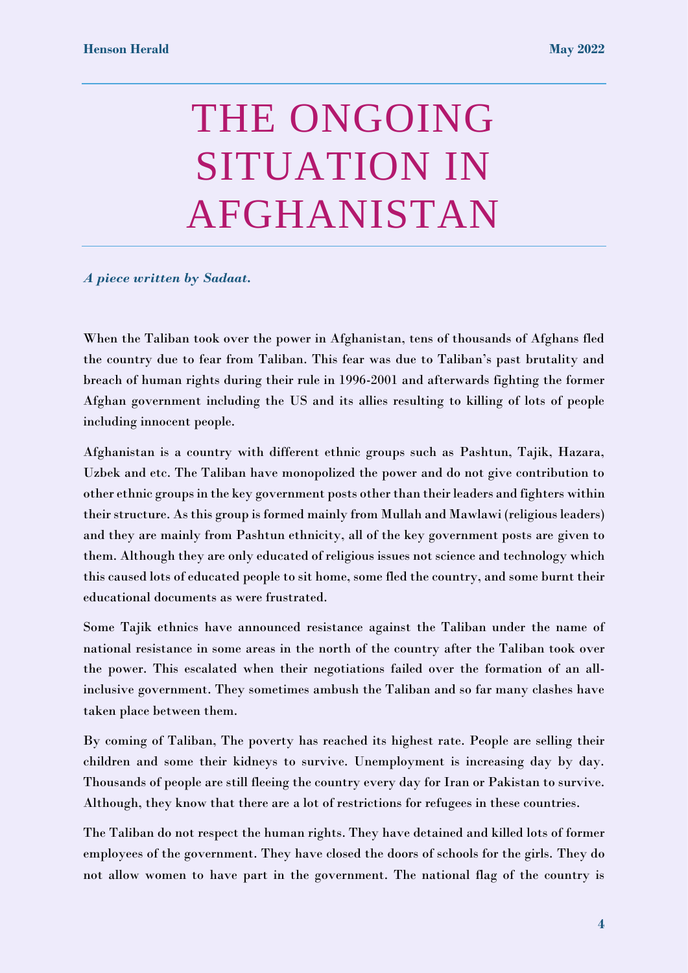# THE ONGOING SITUATION IN AFGHANISTAN

#### *A piece written by Sadaat.*

When the Taliban took over the power in Afghanistan, tens of thousands of Afghans fled the country due to fear from Taliban. This fear was due to Taliban's past brutality and breach of human rights during their rule in 1996-2001 and afterwards fighting the former Afghan government including the US and its allies resulting to killing of lots of people including innocent people.

Afghanistan is a country with different ethnic groups such as Pashtun, Tajik, Hazara, Uzbek and etc. The Taliban have monopolized the power and do not give contribution to other ethnic groups in the key government posts other than their leaders and fighters within their structure. As this group is formed mainly from Mullah and Mawlawi (religious leaders) and they are mainly from Pashtun ethnicity, all of the key government posts are given to them. Although they are only educated of religious issues not science and technology which this caused lots of educated people to sit home, some fled the country, and some burnt their educational documents as were frustrated.

Some Tajik ethnics have announced resistance against the Taliban under the name of national resistance in some areas in the north of the country after the Taliban took over the power. This escalated when their negotiations failed over the formation of an allinclusive government. They sometimes ambush the Taliban and so far many clashes have taken place between them.

By coming of Taliban, The poverty has reached its highest rate. People are selling their children and some their kidneys to survive. Unemployment is increasing day by day. Thousands of people are still fleeing the country every day for Iran or Pakistan to survive. Although, they know that there are a lot of restrictions for refugees in these countries.

The Taliban do not respect the human rights. They have detained and killed lots of former employees of the government. They have closed the doors of schools for the girls. They do not allow women to have part in the government. The national flag of the country is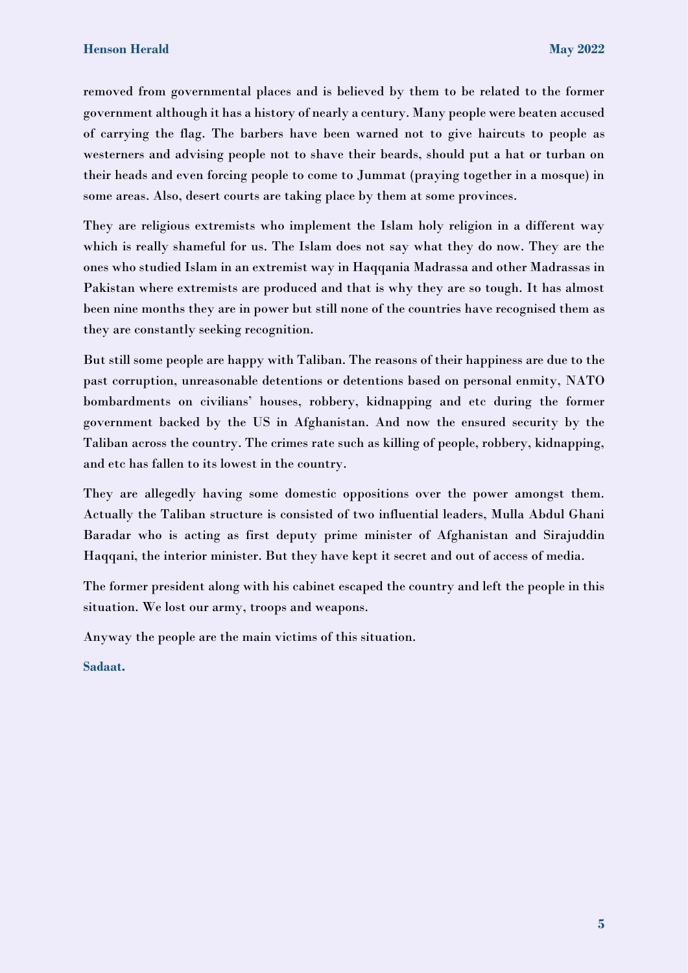removed from governmental places and is believed by them to be related to the former government although it has a history of nearly a century. Many people were beaten accused of carrying the flag. The barbers have been warned not to give haircuts to people as westerners and advising people not to shave their beards, should put a hat or turban on their heads and even forcing people to come to Jummat (praying together in a mosque) in some areas. Also, desert courts are taking place by them at some provinces.

They are religious extremists who implement the Islam holy religion in a different way which is really shameful for us. The Islam does not say what they do now. They are the ones who studied Islam in an extremist way in Haqqania Madrassa and other Madrassas in Pakistan where extremists are produced and that is why they are so tough. It has almost been nine months they are in power but still none of the countries have recognised them as they are constantly seeking recognition.

But still some people are happy with Taliban. The reasons of their happiness are due to the past corruption, unreasonable detentions or detentions based on personal enmity, NATO bombardments on civilians' houses, robbery, kidnapping and etc during the former government backed by the US in Afghanistan. And now the ensured security by the Taliban across the country. The crimes rate such as killing of people, robbery, kidnapping, and etc has fallen to its lowest in the country.

They are allegedly having some domestic oppositions over the power amongst them. Actually the Taliban structure is consisted of two influential leaders, Mulla Abdul Ghani Baradar who is acting as first deputy prime minister of Afghanistan and Sirajuddin Haqqani, the interior minister. But they have kept it secret and out of access of media.

The former president along with his cabinet escaped the country and left the people in this situation. We lost our army, troops and weapons.

Anyway the people are the main victims of this situation.

**Sadaat.**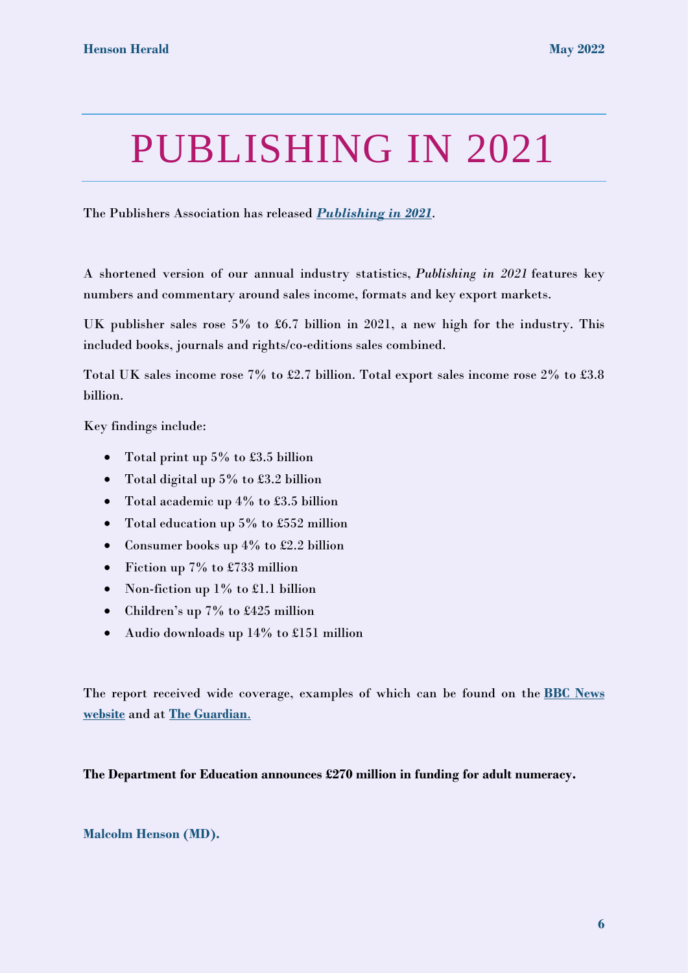# PUBLISHING IN 2021

The Publishers Association has released *[Publishing in 2021](https://d2jy0f04.na1.hubspotlinks.com/Ctc/GF+113/d2jy0f04/VWz6VC2mJdQGW5KTnsV65NPLtW33LWhB4J9yz3N1FQ0tB3q90JV1-WJV7CgXg8W1z_cfL1HP0kWVDn-NK3YgYYcW28q1cS4Q83vSW6-bmyQ39zLyWW7Sb1Rz8TNczFW5X1H-d6xmDspVJR2LD96h3ztW3DHLls8nd0HcW2j5wKh5qRjfHW1N5FVf23bqXHW4_QJhj4ylB6wW1RzT6q2JWHwKW5nBZH51PD643W4JFFRp12Gjz9W3JvMFC63br74VpbCct741yXfW98JSrF45d-s3W3Z54c5535b9vW3X8H7x4qHQkpW7rP_F966Xx5kW4bsgz_7vPs98VF-lbD53xK7jW7hgLL417btC6W4fQqFb4N9gBNW2DJRCv60cf-PW138N2F2qWfqcW5BJtV88z074NW1qMD3R3M-5NK33bv1)*.

A shortened version of our annual industry statistics, *Publishing in 2021* features key numbers and commentary around sales income, formats and key export markets.

UK publisher sales rose 5% to £6.7 billion in 2021, a new high for the industry. This included books, journals and rights/co-editions sales combined.

Total UK sales income rose 7% to £2.7 billion. Total export sales income rose 2% to £3.8 billion.

Key findings include:

- Total print up  $5\%$  to £3.5 billion
- Total digital up 5% to £3.2 billion
- Total academic up 4% to £3.5 billion
- Total education up 5% to £552 million
- Consumer books up 4% to £2.2 billion
- Fiction up 7% to £733 million
- Non-fiction up 1% to £1.1 billion
- Children's up 7% to £425 million
- Audio downloads up 14% to £151 million

The report received wide coverage, examples of which can be found on the **[BBC News](https://d2jy0f04.na1.hubspotlinks.com/Ctc/GF+113/d2jy0f04/VWz6VC2mJdQGW5KTnsV65NPLtW33LWhB4J9yz3N1FQ0tB3q90JV1-WJV7CgDrpW4pRx8f4Jt1jZN5P6sb5Flj4qW3PKVt52cfS8qW8tmmgB3KbWS2W1SCT5_50rvyKW5f0J6Y6lV5QpVDHyYx2MjFS_W1lwh6x2KY16VW8WCPRd8MqRFMW8jZ6sh20sH9lW9fB1t16gw-c6W3C5b4g8XLc6gW8FsBGQ331krvVw4WgZ29Yxm9VtzPN96gpQQrW1kGDkl4zJdflW7clQ962yK2mKW4t236R7NGgN4W8pMXKC6VYqkZW6t5DzL3WStTtW4k9SYm676sMwW2wc4gV2BBZmGW5pqcWx15WsB3W21mgDj6xqmjBW6pRkmK3HjsKWW79nVVw7cvgGXW4k2z922GZxWpW5rLqDQ28pBLh3cYB1)  [website](https://d2jy0f04.na1.hubspotlinks.com/Ctc/GF+113/d2jy0f04/VWz6VC2mJdQGW5KTnsV65NPLtW33LWhB4J9yz3N1FQ0tB3q90JV1-WJV7CgDrpW4pRx8f4Jt1jZN5P6sb5Flj4qW3PKVt52cfS8qW8tmmgB3KbWS2W1SCT5_50rvyKW5f0J6Y6lV5QpVDHyYx2MjFS_W1lwh6x2KY16VW8WCPRd8MqRFMW8jZ6sh20sH9lW9fB1t16gw-c6W3C5b4g8XLc6gW8FsBGQ331krvVw4WgZ29Yxm9VtzPN96gpQQrW1kGDkl4zJdflW7clQ962yK2mKW4t236R7NGgN4W8pMXKC6VYqkZW6t5DzL3WStTtW4k9SYm676sMwW2wc4gV2BBZmGW5pqcWx15WsB3W21mgDj6xqmjBW6pRkmK3HjsKWW79nVVw7cvgGXW4k2z922GZxWpW5rLqDQ28pBLh3cYB1)** and at **[The Guardian](https://d2jy0f04.na1.hubspotlinks.com/Ctc/GF+113/d2jy0f04/VWz6VC2mJdQGW5KTnsV65NPLtW33LWhB4J9yz3N1FQ0s55nKvpV3Zsc37Cg-0cW87RMPL5Gm2c8W4jkVmm7Xgw5DW5PNK2f1VM87zF8BQhQwTKybW7vSbvR5YqKSBN6MztgHcg9csW6F-NTW7rY0JmW5FB8XT60yhc7W7Xn0v_5t4jsWMdqN7xswFqJW70PYYs8bxtdzW76bLg29ltCP5W4R5Wqw49WKQzW613tXZ3Gd_sjW6d2hxz7NQKD4W2Gkj0B8RyjqdVwS1vv6KlcNKW5MyPQc7zd09RVMGT7z1kb7J_W20FRhS4bkSHBVjhNMw6q1pH4W6xCg4x3FDxKYV-G7pt8Lp55ZW3Sswz42qmv-XVNSx9T1PW4MMVjq9mL5hJZBnW8C8RD46Qj5gGW45S6nF77MzdvW8vZwkm7nSzf0N7XMfjl_y-VBW3PBXz030GqKmW4S4zyz5syHwmN7rfp8CVDNbGW6sDn2T11j14x37TF1)**.

**The Department for Education announces £270 million in funding for adult numeracy.**

**Malcolm Henson (MD).**